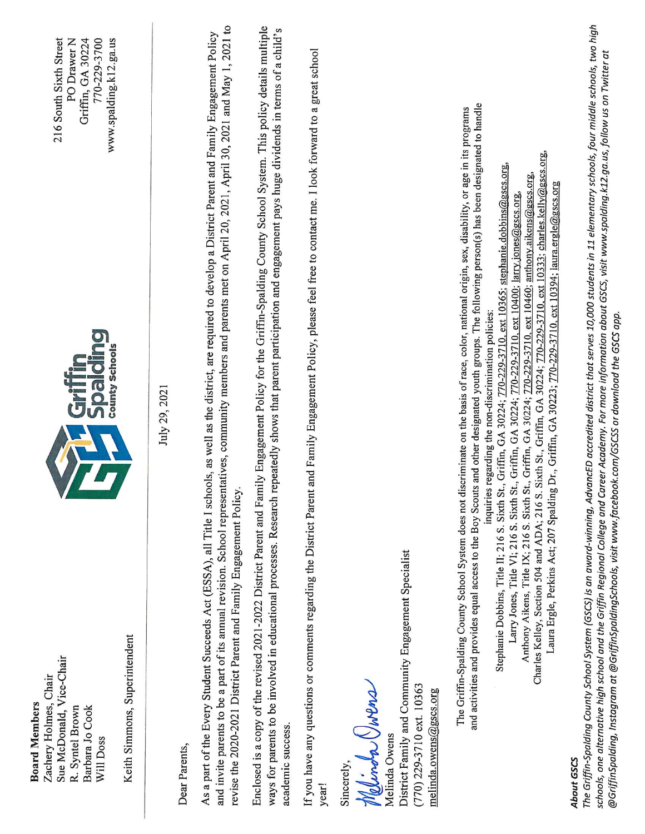| <b>Board Members</b>                                                                                           |                                                                                                                                                                                                                                                                                                                                                                            |                        |
|----------------------------------------------------------------------------------------------------------------|----------------------------------------------------------------------------------------------------------------------------------------------------------------------------------------------------------------------------------------------------------------------------------------------------------------------------------------------------------------------------|------------------------|
| Zachery Holmes, Chair                                                                                          |                                                                                                                                                                                                                                                                                                                                                                            |                        |
| Sue McDonald, Vice-Chair                                                                                       |                                                                                                                                                                                                                                                                                                                                                                            | 216 South Sixth Street |
| R. Syntel Brown                                                                                                |                                                                                                                                                                                                                                                                                                                                                                            | PO Drawer N            |
| Barbara Jo Cook                                                                                                |                                                                                                                                                                                                                                                                                                                                                                            | Griffin, GA 30224      |
| Will Doss                                                                                                      | <b>Grifting</b>                                                                                                                                                                                                                                                                                                                                                            | 770-229-3700           |
|                                                                                                                | <b>County Schools</b>                                                                                                                                                                                                                                                                                                                                                      | www.spalding.k12.ga.us |
| Keith Simmons, Superintendent                                                                                  |                                                                                                                                                                                                                                                                                                                                                                            |                        |
|                                                                                                                |                                                                                                                                                                                                                                                                                                                                                                            |                        |
|                                                                                                                | July 29, 2021                                                                                                                                                                                                                                                                                                                                                              |                        |
| Dear Parents,                                                                                                  |                                                                                                                                                                                                                                                                                                                                                                            |                        |
|                                                                                                                |                                                                                                                                                                                                                                                                                                                                                                            |                        |
| revise the 2020-2021 District Parent and Family Engagement Policy.                                             | and invite parents to be a part of its annual revision. School representatives, community members and parents met on April 20, 2021, April 30, 2021 and May 1, 2021 to<br>As a part of the Every Student Succeeds Act (ESSA), all Title I schools, as well as the district, are required to develop a District Parent and Family Engagement Policy                         |                        |
|                                                                                                                |                                                                                                                                                                                                                                                                                                                                                                            |                        |
| ways for parents to be involved in educational processes. Research<br>academic success.                        | Enclosed is a copy of the revised 2021-2022 District Parent and Family Engagement Policy for the Griffin-Spalding County School System. This policy details multiple<br>repeatedly shows that parent participation and engagement pays huge dividends in terms of a child's                                                                                                |                        |
| year!                                                                                                          | If you have any questions or comments regarding the District Parent and Family Engagement Policy, please feel free to contact me. I look forward to a great school                                                                                                                                                                                                         |                        |
| Sincerely,                                                                                                     |                                                                                                                                                                                                                                                                                                                                                                            |                        |
| Melinda Owens                                                                                                  |                                                                                                                                                                                                                                                                                                                                                                            |                        |
| Melinda Owens                                                                                                  |                                                                                                                                                                                                                                                                                                                                                                            |                        |
| District Family and Community Engagement Specialist<br>(770) 229-3710 ext. 10363<br>melinda.owens@gscs.org     |                                                                                                                                                                                                                                                                                                                                                                            |                        |
|                                                                                                                |                                                                                                                                                                                                                                                                                                                                                                            |                        |
|                                                                                                                | and activities and provides equal access to the Boy Scouts and other designated youth groups. The following person(s) has been designated to handle<br>The Griffin-Spalding County School System does not discriminate on the basis of race, color, national origin, sex, disability, or age in its programs                                                               |                        |
|                                                                                                                | Stephanie Dobbins, Title II; 216 S. Sixth St., Griffin, GA 30224; 770-229-3710, ext 10365; stephanie.dobbins@gscs.org,<br>inquiries regarding the non-discrimination policies:                                                                                                                                                                                             |                        |
|                                                                                                                | Larry Jones, Title V1; 216 S. Sixth St., Griffin, GA 30224; 770-229-3710, ext 10400; larry.jones@gscs.org                                                                                                                                                                                                                                                                  |                        |
|                                                                                                                | Charles Kelley, Section 504 and ADA; 216 S. Sixth St., Griffin, GA 30224; 770-229-3710, ext 10333; charles.kelly@gscs.org,<br>Anthony Aikens, Title IX; 216 S. Sixth St., Griffin, GA 30224; 770-229-3710, ext 10460; anthony aikens@gscs.org                                                                                                                              |                        |
|                                                                                                                | Laura Ergle, Perkins Act; 207 Spalding Dr., Griffin, GA 30223; 770-229-3710, ext 10394; laura.ergle@gscs.org                                                                                                                                                                                                                                                               |                        |
| About GSCS                                                                                                     | The Griffin-Spalding County School System (GSCS) is an award-winning, AdvancED accredited district that serves 10,000 students in 11 elementary schools, four middle schools, two high<br>schools, one alternative high school and the Griffin Regional College and Career Academy. For more information about GSCS, visit www.spalding.k12.ga.us, follow us on Twitter at |                        |
| @GriffinSpalding, Instagram at @GriffinSpaldingSchools, visit www.facebook.com/GSCSS or download the GSCS app. |                                                                                                                                                                                                                                                                                                                                                                            |                        |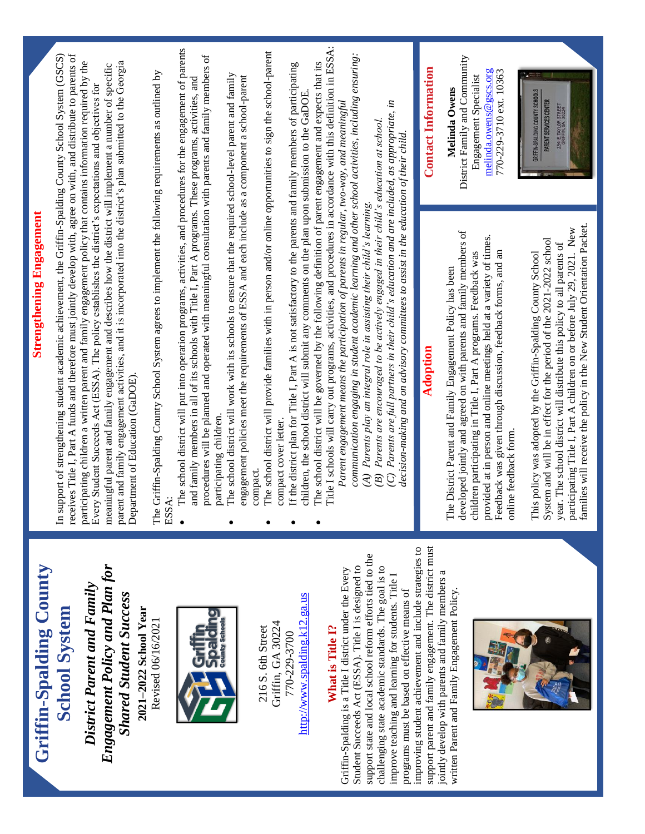| <b>Strengthening Engagement</b>                                                                                                                                                                                                                                                                                                                                        |                                                                                                                                                                                                                                                                                                                                                                                                                                                                                                                                                                                                                                                                                                                                                                                 |
|------------------------------------------------------------------------------------------------------------------------------------------------------------------------------------------------------------------------------------------------------------------------------------------------------------------------------------------------------------------------|---------------------------------------------------------------------------------------------------------------------------------------------------------------------------------------------------------------------------------------------------------------------------------------------------------------------------------------------------------------------------------------------------------------------------------------------------------------------------------------------------------------------------------------------------------------------------------------------------------------------------------------------------------------------------------------------------------------------------------------------------------------------------------|
| In support of strengthening student academic achievement, the Griffin-Spalding County School System (GSCS)                                                                                                                                                                                                                                                             |                                                                                                                                                                                                                                                                                                                                                                                                                                                                                                                                                                                                                                                                                                                                                                                 |
| participating children a written parent and family engagement policy that contains information required by the<br>meaningful parent and family engagement and describes how the district will implement a number of specific<br>Every Student Succeeds Act (ESSA). The policy establishes the district's expectations and objectives for                               |                                                                                                                                                                                                                                                                                                                                                                                                                                                                                                                                                                                                                                                                                                                                                                                 |
| Department of Education (GaDOE).                                                                                                                                                                                                                                                                                                                                       |                                                                                                                                                                                                                                                                                                                                                                                                                                                                                                                                                                                                                                                                                                                                                                                 |
| ESSA:                                                                                                                                                                                                                                                                                                                                                                  |                                                                                                                                                                                                                                                                                                                                                                                                                                                                                                                                                                                                                                                                                                                                                                                 |
| The school district will put into operation programs, activities, and procedures for the engagement of parents<br>procedures will be planned and operated with meaningful consultation with parents and family members of<br>and family members in all of its schools with Title I, Part A programs. These programs, activities, and<br>participating children.        |                                                                                                                                                                                                                                                                                                                                                                                                                                                                                                                                                                                                                                                                                                                                                                                 |
| engagement policies meet the requirements of ESSA and each include as a component a school-parent                                                                                                                                                                                                                                                                      |                                                                                                                                                                                                                                                                                                                                                                                                                                                                                                                                                                                                                                                                                                                                                                                 |
| The school district will provide families with in person and/or online opportunities to sign the school-parent                                                                                                                                                                                                                                                         |                                                                                                                                                                                                                                                                                                                                                                                                                                                                                                                                                                                                                                                                                                                                                                                 |
| If the district plan for Title I, Part A is not satisfactory to the parents and family members of participating                                                                                                                                                                                                                                                        |                                                                                                                                                                                                                                                                                                                                                                                                                                                                                                                                                                                                                                                                                                                                                                                 |
| Title I schools will carry out programs, activities, and procedures in accordance with this definition in ESSA:<br>The school district will be governed by the following definition of parent engagement and expects that its                                                                                                                                          |                                                                                                                                                                                                                                                                                                                                                                                                                                                                                                                                                                                                                                                                                                                                                                                 |
| communication engaging in student academic learning and other school activities, including ensuring:                                                                                                                                                                                                                                                                   |                                                                                                                                                                                                                                                                                                                                                                                                                                                                                                                                                                                                                                                                                                                                                                                 |
| (C) Parents are full partners in their child's education and are included, as appropriate, in<br>(B) Parents are encouraged to be actively engaged in their child's education at school.<br>decision-making and on advisory committees to assist in the education of their child.                                                                                      |                                                                                                                                                                                                                                                                                                                                                                                                                                                                                                                                                                                                                                                                                                                                                                                 |
| Adoption                                                                                                                                                                                                                                                                                                                                                               | <b>Contact Information</b>                                                                                                                                                                                                                                                                                                                                                                                                                                                                                                                                                                                                                                                                                                                                                      |
| developed jointly and agreed on with parents and family members of<br>provided at in person and online meetings held at a variety of times.<br>Feedback was given through discussion, feedback forms, and an<br>children participating in Title I, Part A programs. Feedback was<br>The District Parent and Family Engagement Policy has been<br>online feedback form. | District Family and Community<br>melinda.owens@gscs.org<br>770-229-3710 ext. 10363<br>Engagement Specialist<br>Melinda Owens                                                                                                                                                                                                                                                                                                                                                                                                                                                                                                                                                                                                                                                    |
| families will receive the policy in the New Student Orientation Packet.<br>participating Title I, Part A children on or before July 29, 2021. New<br>System and will be in effect for the period of the 2021-2022 school<br>year. The school district will distribute this policy to all parents of<br>This policy was adopted by the Griffin-Spalding County School   | GRIFFIN-SPALDING COUNTY SCHOOLS<br>PARENT SERVICES CENTER<br>234 E. TAYLOR STREET<br>GRIFFIN, GA. 30224                                                                                                                                                                                                                                                                                                                                                                                                                                                                                                                                                                                                                                                                         |
|                                                                                                                                                                                                                                                                                                                                                                        | receives Title I, Part A funds and therefore must jointly develop with, agree on with, and distribute to parents of<br>parent and family engagement activities, and it is incorporated into the district's plan submitted to the Georgia<br>The Griffin-Spalding County School System agrees to implement the following requirements as outlined by<br>The school district will work with its schools to ensure that the required school-level parent and family<br>children, the school district will submit any comments on the plan upon submission to the GaDOE.<br>Parent engagement means the participation of parents in regular, two-way, and meaningful<br>(A) Parents play an integral role in assisting their child's learning.<br>compact cover letter.<br>compact. |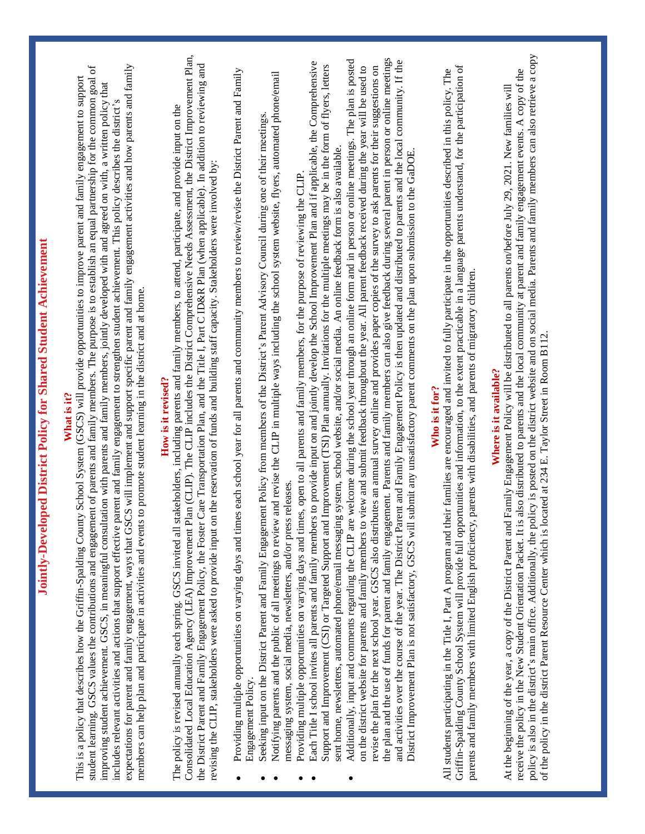| Consolidated Local Education Agency (LEA) Improvement Plan (CLIP). The CLIP includes the District Comprehensive Needs Assessment, the District Improvement Plan,<br>the plan and the use of funds for parent and family engagement. Parents and family members can also give feedback during several parent in person or online meetings<br>Additionally, input and comments regarding the CLIP are welcome during the school year through an online form and in person or online meetings. The plan is posted<br>and activities over the course of the year. The District Parent and Family Engagement Policy is then updated and distributed to parents and the local community. If the<br>Each Title I school invites all parents and family members to provide input on and jointly develop the School Improvement Plan and if applicable, the Comprehensive<br>the District Parent and Family Engagement Policy, the Foster Care Transportation Plan, and the Title I, Part C ID&R Plan (when applicable). In addition to reviewing and<br>expectations for parent and family engagement, ways that GSCS will implement and support specific parent and family engagement activities and how parents and family<br>Support and Improvement (CSI) or Targeted Support and Improvement (TSI) Plan annually. Invitations for the multiple meetings may be in the form of flyers, letters<br>Griffin-Spalding County School System will provide full opportunities and information, to the extent practicable in a language parents understand, for the participation of<br>student learning. GSCS values the contributions and engagement of parents and family members. The purpose is to establish an equal partnership for the common goal of<br>on the district website for parents and family members to view and submit feedback throughout the year. All parent feedback received during the year will be used to<br>revise the plan for the next school year. GSCS also distributes an annual survey online and provides paper copies of the survey to ask parents for their suggestions on<br>Providing multiple opportunities on varying days and times each school year for all parents and community members to review/revise the District Parent and Family<br>All students participating in the Title I, Part A program and their families are encouraged and invited to fully participate in the opportunities described in this policy. The<br>Notifying parents and the public of all meetings to review and revise the CLP in multiple ways including the school system website, flyers, automated phone/email<br>This is a policy that describes how the Griffin-Spalding County School System (GSCS) will provide opportunities to improve parent and family engagement to support<br>improving student achievement. GSCS, in meaningful consultation with parents and family members, jointly developed with and agreed on with, a written policy that<br>includes relevant activities and actions that support effective parent and family engagement to strengthen student achievement. This policy describes the district's<br>stakeholders, including parents and family members, to attend, participate, and provide input on the<br>Seeking input on the District Parent and Family Engagement Policy from members of the District's Parent Advisory Council during one of their meetings.<br>sent home, newsletters, automated phone/email messaging system, school website, and/or social media. An online feedback form is also available.<br>District Improvement Plan is not satisfactory, GSCS will submit any unsatisfactory parent comments on the plan upon submission to the GaDOE<br>revising the CLIP, stakeholders were asked to provide input on the reservation of funds and building staff capacity. Stakeholders were involved by:<br>Providing multiple opportunities on varying days and times, open to all parents and family members, for the purpose of reviewing the CLIP<br>parents and family members with limited English proficiency, parents with disabilities, and parents of migratory children.<br>members can help plan and participate in activities and events to promote student learning in the district and at home.<br>How is it revised?<br>Who is it for?<br>What is it?<br>messaging system, social media, newsletters, and/or press releases.<br>The policy is revised annually each spring. GSCS invited all<br>Engagement Policy | policy is also in the district's main office. Additionally, the policy is posted on the district website and on social media. Parents and family members can also retrieve a copy<br>receive the policy in the New Student Orientation Packet. It is also distributed to parents and the local community at parent and family engagement events. A copy of the<br>At the beginning of the year, a copy of the District Parent and Family Engagement Policy will be distributed to all parents on/before July 29, 2021. New families will<br>ocated at 234 E. Taylor Street in Room B112.<br>Where is it available?<br>of the policy in the district Parent Resource Center which is l |
|-----------------------------------------------------------------------------------------------------------------------------------------------------------------------------------------------------------------------------------------------------------------------------------------------------------------------------------------------------------------------------------------------------------------------------------------------------------------------------------------------------------------------------------------------------------------------------------------------------------------------------------------------------------------------------------------------------------------------------------------------------------------------------------------------------------------------------------------------------------------------------------------------------------------------------------------------------------------------------------------------------------------------------------------------------------------------------------------------------------------------------------------------------------------------------------------------------------------------------------------------------------------------------------------------------------------------------------------------------------------------------------------------------------------------------------------------------------------------------------------------------------------------------------------------------------------------------------------------------------------------------------------------------------------------------------------------------------------------------------------------------------------------------------------------------------------------------------------------------------------------------------------------------------------------------------------------------------------------------------------------------------------------------------------------------------------------------------------------------------------------------------------------------------------------------------------------------------------------------------------------------------------------------------------------------------------------------------------------------------------------------------------------------------------------------------------------------------------------------------------------------------------------------------------------------------------------------------------------------------------------------------------------------------------------------------------------------------------------------------------------------------------------------------------------------------------------------------------------------------------------------------------------------------------------------------------------------------------------------------------------------------------------------------------------------------------------------------------------------------------------------------------------------------------------------------------------------------------------------------------------------------------------------------------------------------------------------------------------------------------------------------------------------------------------------------------------------------------------------------------------------------------------------------------------------------------------------------------------------------------------------------------------------------------------------------------------------------------------------------------------------------------------------------------------------------------------------------------------------------------------------------------------------------------------------------------------------------------------------------------------------------------------------------------------------------------------------------------------------------------------------------------------------------------------------------------------------------------------------------------------------------------------------------------------------------------------------------------------------------------------------------------------------------------------------------------------------------------------------------------------------------|---------------------------------------------------------------------------------------------------------------------------------------------------------------------------------------------------------------------------------------------------------------------------------------------------------------------------------------------------------------------------------------------------------------------------------------------------------------------------------------------------------------------------------------------------------------------------------------------------------------------------------------------------------------------------------------|
|-----------------------------------------------------------------------------------------------------------------------------------------------------------------------------------------------------------------------------------------------------------------------------------------------------------------------------------------------------------------------------------------------------------------------------------------------------------------------------------------------------------------------------------------------------------------------------------------------------------------------------------------------------------------------------------------------------------------------------------------------------------------------------------------------------------------------------------------------------------------------------------------------------------------------------------------------------------------------------------------------------------------------------------------------------------------------------------------------------------------------------------------------------------------------------------------------------------------------------------------------------------------------------------------------------------------------------------------------------------------------------------------------------------------------------------------------------------------------------------------------------------------------------------------------------------------------------------------------------------------------------------------------------------------------------------------------------------------------------------------------------------------------------------------------------------------------------------------------------------------------------------------------------------------------------------------------------------------------------------------------------------------------------------------------------------------------------------------------------------------------------------------------------------------------------------------------------------------------------------------------------------------------------------------------------------------------------------------------------------------------------------------------------------------------------------------------------------------------------------------------------------------------------------------------------------------------------------------------------------------------------------------------------------------------------------------------------------------------------------------------------------------------------------------------------------------------------------------------------------------------------------------------------------------------------------------------------------------------------------------------------------------------------------------------------------------------------------------------------------------------------------------------------------------------------------------------------------------------------------------------------------------------------------------------------------------------------------------------------------------------------------------------------------------------------------------------------------------------------------------------------------------------------------------------------------------------------------------------------------------------------------------------------------------------------------------------------------------------------------------------------------------------------------------------------------------------------------------------------------------------------------------------------------------------------------------------------------------------------------------------------------------------------------------------------------------------------------------------------------------------------------------------------------------------------------------------------------------------------------------------------------------------------------------------------------------------------------------------------------------------------------------------------------------------------------------------------------------------------------------------------------|---------------------------------------------------------------------------------------------------------------------------------------------------------------------------------------------------------------------------------------------------------------------------------------------------------------------------------------------------------------------------------------------------------------------------------------------------------------------------------------------------------------------------------------------------------------------------------------------------------------------------------------------------------------------------------------|

**Jointly-Developed District Policy for Shared Student Achievement**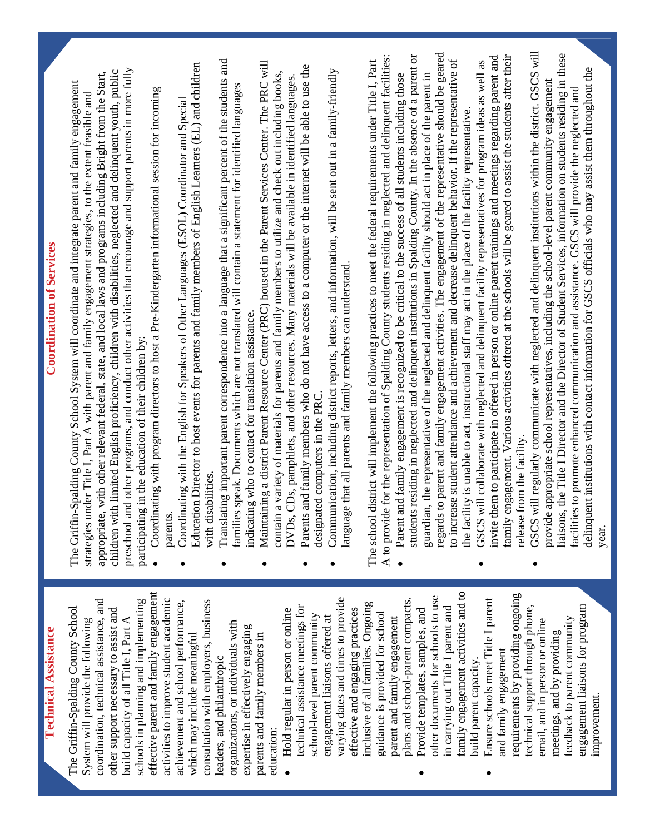### **Technical Assistance Technical Assistance**

effective parent and family engagement effective parent and family engagement coordination, technical assistance, and activities to improve student academic activities to improve student academic schools in planning and implementing consultation with employers, business schools in planning and implementing achievement and school performance, consultation with employers, business coordination, technical assistance, and achievement and school performance, The Griffin-Spalding County School The Griffin-Spalding County School other support necessary to assist and other support necessary to assist and build capacity of all Title I, Part A build capacity of all Title I, Part A System will provide the following System will provide the following organizations, or individuals with organizations, or individuals with expertise in effectively engaging expertise in effectively engaging which may include meaningful parents and family members in parents and family members in which may include meaningful leaders, and philanthropic leaders, and philanthropic education:

- varying dates and times to provide varying dates and times to provide plans and school-parent compacts. plans and school-parent compacts. inclusive of all families. Ongoing inclusive of all families. Ongoing technical assistance meetings for technical assistance meetings for effective and engaging practices effective and engaging practices • Hold regular in person or online • Hold regular in person or online guidance is provided for school school-level parent community school-level parent community guidance is provided for school engagement liaisons offered at engagement liaisons offered at parent and family engagement parent and family engagement
- family engagement activities and to family engagement activities and to other documents for schools to use other documents for schools to use in carrying out Title I parent and in carrying out Title I parent and • Provide templates, samples, and Provide templates, samples, and build parent capacity. build parent capacity.
- requirements by providing ongoing requirements by providing ongoing • Ensure schools meet Title I parent Ensure schools meet Title I parent technical support through phone, engagement liaisons for program engagement liaisons for program technical support through phone, feedback to parent community feedback to parent community email, and in person or online email, and in person or online meetings, and by providing meetings, and by providing and family engagement and family engagement improvement. improvement.

## **Coordination of Services Coordination of Services**

preschool and other programs, and conduct other activities that encourage and support parents in more fully preschool and other programs, and conduct other activities that encourage and support parents in more fully children with limited English proficiency, children with disabilities, neglected and delinquent youth, public appropriate, with other relevant federal, state, and local laws and programs including Bright from the Start, children with limited English proficiency, children with disabilities, neglected and delinquent youth, public appropriate, with other relevant federal, state, and local laws and programs including Bright from the Start, The Griffin-Spalding County School System will coordinate and integrate parent and family engagement The Griffin-Spalding County School System will coordinate and integrate parent and family engagement strategies under Title I, Part A with parent and family engagement strategies, to the extent feasible and strategies under Title I, Part A with parent and family engagement strategies, to the extent feasible and participating in the education of their children by: participating in the education of their children by:

- Coordinating with program directors to host a Pre-Kindergarten informational session for incoming Coordinating with program directors to host a Pre-Kindergarten informational session for incoming parents.
- Education Director to host events for parents and family members of English Learners (EL) and children Education Director to host events for parents and family members of English Learners (EL) and children • Coordinating with the English for Speakers of Other Languages (ESOL) Coordinator and Special Coordinating with the English for Speakers of Other Languages (ESOL) Coordinator and Special with disabilities. with disabilities.
- Translating important parent correspondence into a language that a significant percent of the students and Translating important parent correspondence into a language that a significant percent of the students and families speak. Documents which are not translated will contain a statement for identified languages families speak. Documents which are not translated will contain a statement for identified languages indicating who to contact for translation assistance. indicating who to contact for translation assistance.
	- Maintaining a district Parent Resource Center (PRC) housed in the Parent Services Center. The PRC will Maintaining a district Parent Resource Center (PRC) housed in the Parent Services Center. The PRC will contain a variety of materials for parents and family members to utilize and check out including books, contain a variety of materials for parents and family members to utilize and check out including books, DVDs, CDs, pamphlets, and other resources. Many materials will be available in identified languages. DVDs, CDs, pamphlets, and other resources. Many materials will be available in identified languages.
		- Parents and family members who do not have access to a computer or the internet will be able to use the Parents and family members who do not have access to a computer or the internet will be able to use the designated computers in the PRC. designated computers in the PRC.
			- Communication, including district reports, letters, and information, will be sent out in a family-friendly Communication, including district reports, letters, and information, will be sent out in a family-friendly language that all parents and family members can understand. anguage that all parents and family members can understand.

A to provide for the representation of Spalding County students residing in neglected and delinquent facilities: A to provide for the representation of Spalding County students residing in neglected and delinquent facilities: The school district will implement the following practices to meet the federal requirements under Title I, Part The school district will implement the following practices to meet the federal requirements under Title I, Part

- regards to parent and family engagement activities. The engagement of the representative should be geared regards to parent and family engagement activities. The engagement of the representative should be geared students residing in neglected and delinquent institutions in Spalding County. In the absence of a parent or students residing in neglected and delinquent institutions in Spalding County. In the absence of a parent or to increase student attendance and achievement and decrease delinquent behavior. If the representative of to increase student attendance and achievement and decrease delinquent behavior. If the representative of guardian, the representative of the neglected and delinquent facility should act in place of the parent in Parent and family engagement is recognized to be critical to the success of all students including those • Parent and family engagement is recognized to be critical to the success of all students including those guardian, the representative of the neglected and delinquent facility should act in place of the parent in the facility is unable to act, instructional staff may act in the place of the facility representative. the facility is unable to act, instructional staff may act in the place of the facility representative.
- invite them to participate in offered in person or online parent trainings and meetings regarding parent and family engagement. Various activities offered at the schools will be geared to assist the students after their family engagement. Various activities offered at the schools will be geared to assist the students after their invite them to participate in offered in person or online parent trainings and meetings regarding parent and GSCS will collaborate with neglected and delinquent facility representatives for program ideas as well as • GSCS will collaborate with neglected and delinquent facility representatives for program ideas as well as release from the facility. release from the facility.
- GSCS will regularly communicate with neglected and delinquent institutions within the district. GSCS will GSCS will regularly communicate with neglected and delinquent institutions within the district. GSCS will liaisons, the Title I Director and the Director of Student Services, information on students residing in these liaisons, the Title I Director and the Director of Student Services, information on students residing in these delinquent institutions with contact information for GSCS officials who may assist them throughout the delinquent institutions with contact information for GSCS officials who may assist them throughout the provide appropriate school representatives, including the school-level parent community engagement provide appropriate school representatives, including the school-level parent community engagement facilities to promote enhanced communication and assistance. GSCS will provide the neglected and facilities to promote enhanced communication and assistance. GSCS will provide the neglected and year.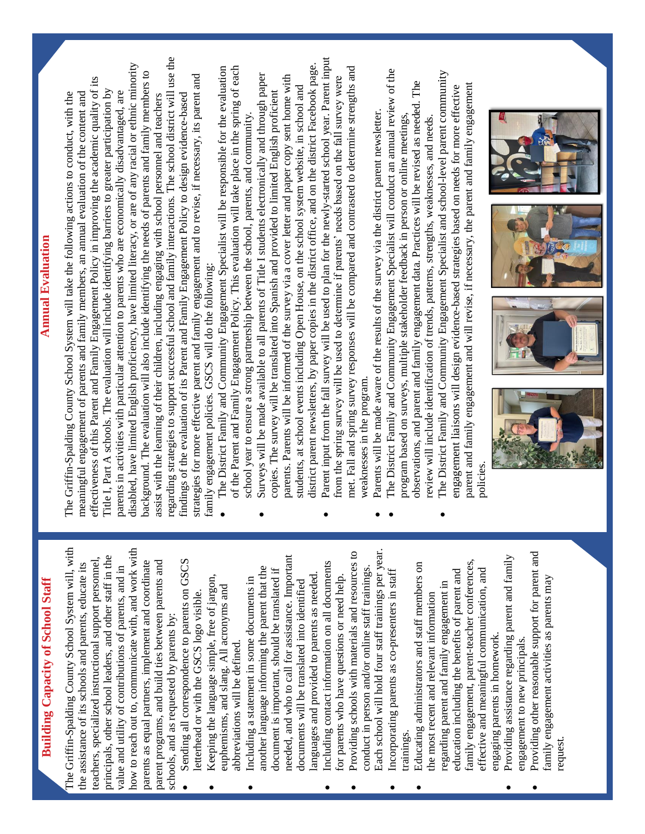# **Building Capacity of School Staff Building Capacity of School Staff**

The Griffin-Spalding County School System will, with how to reach out to, communicate with, and work with The Griffin-Spalding County School System will, with how to reach out to, communicate with, and work with principals, other school leaders, and other staff in the teachers, specialized instructional support personnel, principals, other school leaders, and other staff in the teachers, specialized instructional support personnel, parents as equal partners, implement and coordinate parent programs, and build ties between parents and parents as equal partners, implement and coordinate parent programs, and build ties between parents and the assistance of its schools and parents, educate its the assistance of its schools and parents, educate its value and utility of contributions of parents, and in value and utility of contributions of parents, and in schools, and as requested by parents by: schools, and as requested by parents by:

- Sending all correspondence to parents on GSCS Sending all correspondence to parents on GSCS letterhead or with the GSCS logo visible. letterhead or with the GSCS logo visible.
	- Keeping the language simple, free of jargon, Keeping the language simple, free of jargon, euphemisms, and slang. All acronyms and euphemisms, and slang. All acronyms and abbreviations will be defined. abbreviations will be defined.  $\bullet$
- needed, and who to call for assistance. Important needed, and who to call for assistance. Important another language informing the parent that the another language informing the parent that the document is important, should be translated if document is important, should be translated if languages and provided to parents as needed. languages and provided to parents as needed. Including a statement in some documents in • Including a statement in some documents in documents will be translated into identified documents will be translated into identified
	- Including contact information on all documents Including contact information on all documents for parents who have questions or need help. for parents who have questions or need help.
- Each school will hold four staff trainings per year. Each school will hold four staff trainings per year. Providing schools with materials and resources to • Providing schools with materials and resources to conduct in person and/or online staff trainings. conduct in person and/or online staff trainings.
	- Incorporating parents as co-presenters in staff Incorporating parents as co-presenters in staff<br>trainings.
- family engagement, parent-teacher conferences, family engagement, parent-teacher conferences, • Educating administrators and staff members on Educating administrators and staff members on effective and meaningful communication, and education including the benefits of parent and effective and meaningful communication, and education including the benefits of parent and regarding parent and family engagement in regarding parent and family engagement in the most recent and relevant information the most recent and relevant information engaging parents in homework. engaging parents in homework.
- Providing assistance regarding parent and family • Providing assistance regarding parent and family engagement to new principals. engagement to new principals.
- Providing other reasonable support for parent and Providing other reasonable support for parent and family engagement activities as parents may family engagement activities as parents may request.

#### **Annual Evaluation Annual Evaluation**

regarding strategies to support successful school and family interactions. The school district will use the regarding strategies to support successful school and family interactions. The school district will use the disabled, have limited English proficiency, have limited literacy, or are of any racial or ethnic minority disabled, have limited English proficiency, have limited literacy, or are of any racial or ethnic minority background. The evaluation will also include identifying the needs of parents and family members to background. The evaluation will also include identifying the needs of parents and family members to strategies for more effective parent and family engagement and to revise, if necessary, its parent and strategies for more effective parent and family engagement and to revise, if necessary, its parent and effectiveness of this Parent and Family Engagement Policy in improving the academic quality of its effectiveness of this Parent and Family Engagement Policy in improving the academic quality of its Title I, Part A schools. The evaluation will include identifying barriers to greater participation by Title I, Part A schools. The evaluation will include identifying barriers to greater participation by meaningful engagement of parents and family members, an annual evaluation of the content and parents in activities with particular attention to parents who are economically disadvantaged, are parents in activities with particular attention to parents who are economically disadvantaged, are The Griffin-Spalding County School System will take the following actions to conduct, with the The Griffin-Spalding County School System will take the following actions to conduct, with the meaningful engagement of parents and family members, an annual evaluation of the content and findings of the evaluation of its Parent and Family Engagement Policy to design evidence-based assist with the learning of their children, including engaging with school personnel and teachers assist with the learning of their children, including engaging with school personnel and teachers findings of the evaluation of its Parent and Family Engagement Policy to design evidence-based family engagement policies. GSCS will do the following: family engagement policies. GSCS will do the following:

- The District Family and Community Engagement Specialist will be responsible for the evaluation of the Parent and Family Engagement Policy. This evaluation will take place in the spring of each The District Family and Community Engagement Specialist will be responsible for the evaluation of the Parent and Family Engagement Policy. This evaluation will take place in the spring of each school year to ensure a strong partnership between the school, parents, and community. school year to ensure a strong partnership between the school, parents, and community.
- district parent newsletters, by paper copies in the district office, and on the district Facebook page. district parent newsletters, by paper copies in the district office, and on the district Facebook page. • Surveys will be made available to all parents of Title I students electronically and through paper Surveys will be made available to all parents of Title I students electronically and through paper parents. Parents will be informed of the survey via a cover letter and paper copy sent home with parents. Parents will be informed of the survey via a cover letter and paper copy sent home with students, at school events including Open House, on the school system website, in school and students, at school events including Open House, on the school system website, in school and copies. The survey will be translated into Spanish and provided to limited English proficient copies. The survey will be translated into Spanish and provided to limited English proficient
- Parent input from the fall survey will be used to plan for the newly-started school year. Parent input • Parent input from the fall survey will be used to plan for the newly-started school year. Parent input met. Fall and spring survey responses will be compared and contrasted to determine strengths and met. Fall and spring survey responses will be compared and contrasted to determine strengths and from the spring survey will be used to determine if parents' needs based on the fall survey were from the spring survey will be used to determine if parents' needs based on the fall survey were weaknesses in the program. weaknesses in the program.
	- Parents will be made aware of the results of the survey via the district parent newsletter. Parents will be made aware of the results of the survey via the district parent newsletter.
- The District Family and Community Engagement Specialist will conduct an annual review of the The District Family and Community Engagement Specialist will conduct an annual review of the observations, and parent and family engagement data. Practices will be revised as needed. The observations, and parent and family engagement data. Practices will be revised as needed. The program based on surveys, multiple stakeholder feedback in person or online meetings, review will include identification of trends, patterns, strengths, weaknesses, and needs. review will include identification of trends, patterns, strengths, weaknesses, and needs. program based on surveys, multiple stakeholder feedback in person or online meetings
	- The District Family and Community Engagement Specialist and school-level parent community The District Family and Community Engagement Specialist and school-level parent community parent and family engagement and will revise, if necessary, the parent and family engagement parent and family engagement and will revise, if necessary, the parent and family engagement engagement liaisons will design evidence-based strategies based on needs for more effective engagement liaisons will design evidence-based strategies based on needs for more effective policies.



 $\sim$